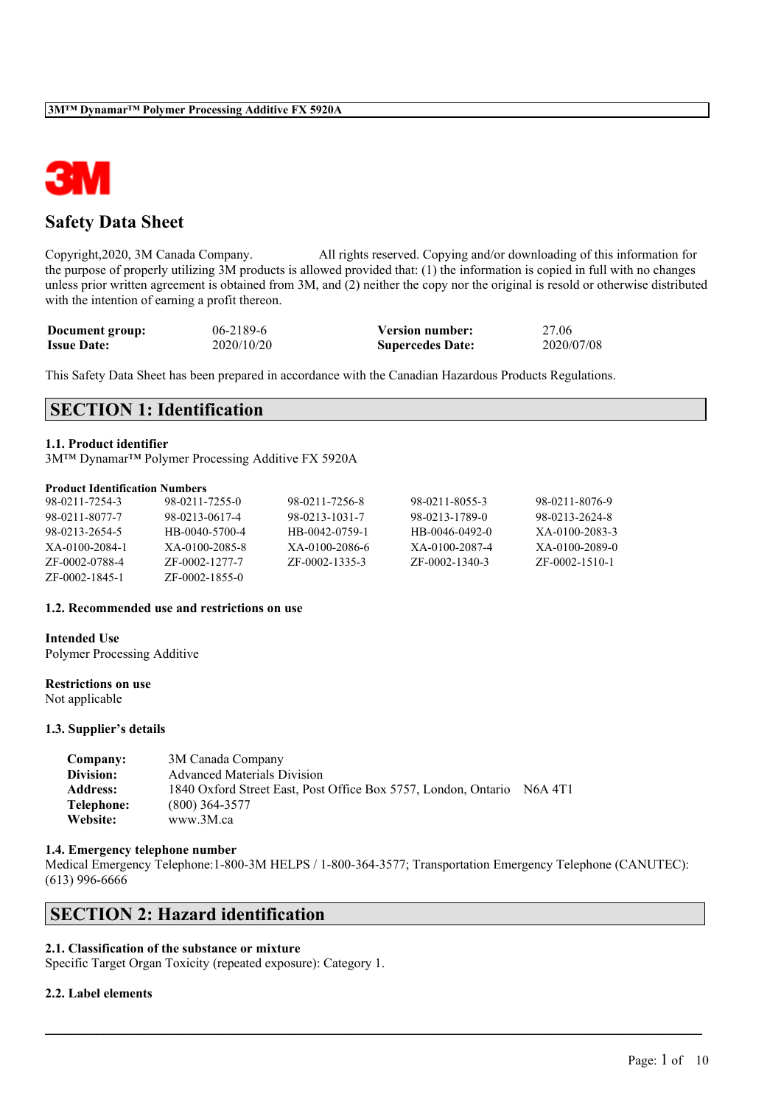

## **Safety Data Sheet**

Copyright,2020, 3M Canada Company. All rights reserved. Copying and/or downloading of this information for the purpose of properly utilizing 3M products is allowed provided that: (1) the information is copied in full with no changes unless prior written agreement is obtained from 3M, and (2) neither the copy nor the original is resold or otherwise distributed with the intention of earning a profit thereon.

| Document group:    | 06-2189-6  | <b>Version number:</b>  | 27.06      |
|--------------------|------------|-------------------------|------------|
| <b>Issue Date:</b> | 2020/10/20 | <b>Supercedes Date:</b> | 2020/07/08 |

This Safety Data Sheet has been prepared in accordance with the Canadian Hazardous Products Regulations.

## **SECTION 1: Identification**

## **1.1. Product identifier**

3M™ Dynamar™ Polymer Processing Additive FX 5920A

#### **Product Identification Numbers**

| 98-0211-7254-3 | 98-0211-7255-0 | 98-0211-7256-8 | 98-0211-8055-3 | 98-0211-8076-9 |
|----------------|----------------|----------------|----------------|----------------|
| 98-0211-8077-7 | 98-0213-0617-4 | 98-0213-1031-7 | 98-0213-1789-0 | 98-0213-2624-8 |
| 98-0213-2654-5 | HB-0040-5700-4 | HB-0042-0759-1 | HB-0046-0492-0 | XA-0100-2083-3 |
| XA-0100-2084-1 | XA-0100-2085-8 | XA-0100-2086-6 | XA-0100-2087-4 | XA-0100-2089-0 |
| ZF-0002-0788-4 | ZF-0002-1277-7 | ZF-0002-1335-3 | ZF-0002-1340-3 | ZF-0002-1510-1 |
| ZF-0002-1845-1 | ZF-0002-1855-0 |                |                |                |

#### **1.2. Recommended use and restrictions on use**

## **Intended Use**

Polymer Processing Additive

#### **Restrictions on use**

Not applicable

#### **1.3. Supplier's details**

| Company:        | 3M Canada Company                                              |                                  |
|-----------------|----------------------------------------------------------------|----------------------------------|
| Division:       | <b>Advanced Materials Division</b>                             |                                  |
| <b>Address:</b> | 1840 Oxford Street East, Post Office Box 5757, London, Ontario | N <sub>6</sub> A 4T <sub>1</sub> |
| Telephone:      | $(800)$ 364-3577                                               |                                  |
| Website:        | www.3M.ca                                                      |                                  |

#### **1.4. Emergency telephone number**

Medical Emergency Telephone:1-800-3M HELPS / 1-800-364-3577; Transportation Emergency Telephone (CANUTEC): (613) 996-6666

 $\mathcal{L}_\mathcal{L} = \mathcal{L}_\mathcal{L} = \mathcal{L}_\mathcal{L} = \mathcal{L}_\mathcal{L} = \mathcal{L}_\mathcal{L} = \mathcal{L}_\mathcal{L} = \mathcal{L}_\mathcal{L} = \mathcal{L}_\mathcal{L} = \mathcal{L}_\mathcal{L} = \mathcal{L}_\mathcal{L} = \mathcal{L}_\mathcal{L} = \mathcal{L}_\mathcal{L} = \mathcal{L}_\mathcal{L} = \mathcal{L}_\mathcal{L} = \mathcal{L}_\mathcal{L} = \mathcal{L}_\mathcal{L} = \mathcal{L}_\mathcal{L}$ 

## **SECTION 2: Hazard identification**

## **2.1. Classification of the substance or mixture**

Specific Target Organ Toxicity (repeated exposure): Category 1.

### **2.2. Label elements**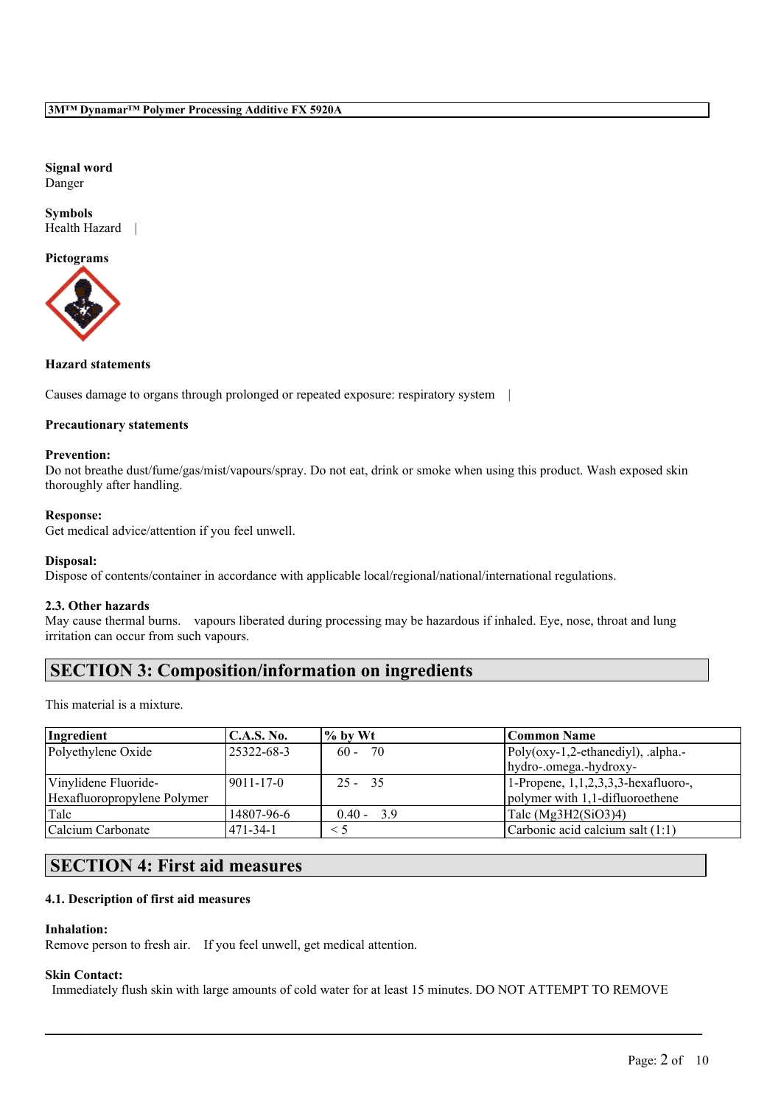**Signal word** Danger

**Symbols** Health Hazard |

**Pictograms**



### **Hazard statements**

Causes damage to organs through prolonged or repeated exposure: respiratory system |

### **Precautionary statements**

## **Prevention:**

Do not breathe dust/fume/gas/mist/vapours/spray. Do not eat, drink or smoke when using this product. Wash exposed skin thoroughly after handling.

#### **Response:**

Get medical advice/attention if you feel unwell.

### **Disposal:**

Dispose of contents/container in accordance with applicable local/regional/national/international regulations.

### **2.3. Other hazards**

May cause thermal burns. vapours liberated during processing may be hazardous if inhaled. Eye, nose, throat and lung irritation can occur from such vapours.

## **SECTION 3: Composition/information on ingredients**

This material is a mixture.

| Ingredient                  | <b>C.A.S. No.</b> | $\frac{9}{6}$ by Wt | Common Name                            |
|-----------------------------|-------------------|---------------------|----------------------------------------|
| Polyethylene Oxide          | 25322-68-3        | 70<br>$60 -$        | Poly(oxy-1,2-ethanediyl), .alpha.-     |
|                             |                   |                     | hydro-.omega.-hydroxy-                 |
| Vinylidene Fluoride-        | 19011-17-0        | $25 - 35$           | 1-Propene, $1,1,2,3,3,3$ -hexafluoro-, |
| Hexafluoropropylene Polymer |                   |                     | polymer with 1,1-difluoroethene        |
| Talc                        | 14807-96-6        | $0.40 - 3.9$        | Talc $(Mg3H2(SiO3)4)$                  |
| Calcium Carbonate           | 1471-34-1         | $\leq 5$            | Carbonic acid calcium salt (1:1)       |

# **SECTION 4: First aid measures**

## **4.1. Description of first aid measures**

#### **Inhalation:**

Remove person to fresh air. If you feel unwell, get medical attention.

#### **Skin Contact:**

Immediately flush skin with large amounts of cold water for at least 15 minutes. DO NOT ATTEMPT TO REMOVE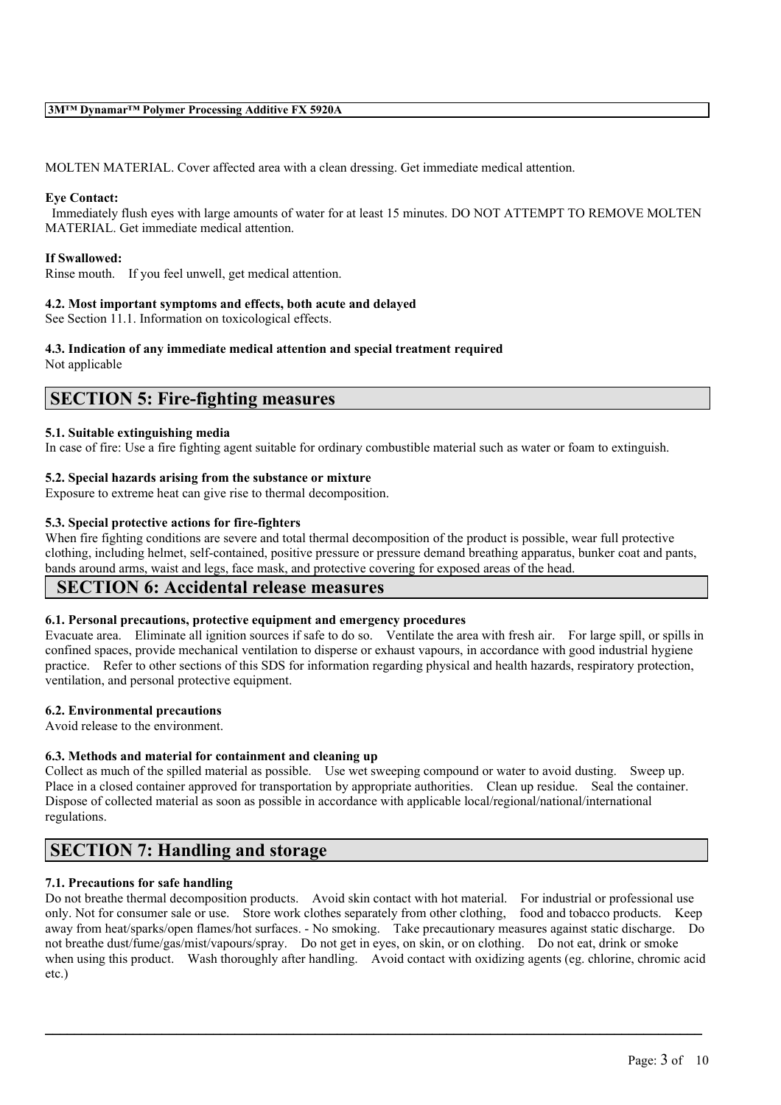MOLTEN MATERIAL. Cover affected area with a clean dressing. Get immediate medical attention.

#### **Eye Contact:**

Immediately flush eyes with large amounts of water for at least 15 minutes. DO NOT ATTEMPT TO REMOVE MOLTEN MATERIAL. Get immediate medical attention.

### **If Swallowed:**

Rinse mouth. If you feel unwell, get medical attention.

### **4.2. Most important symptoms and effects, both acute and delayed**

See Section 11.1. Information on toxicological effects.

## **4.3. Indication of any immediate medical attention and special treatment required**

Not applicable

## **SECTION 5: Fire-fighting measures**

### **5.1. Suitable extinguishing media**

In case of fire: Use a fire fighting agent suitable for ordinary combustible material such as water or foam to extinguish.

### **5.2. Special hazards arising from the substance or mixture**

Exposure to extreme heat can give rise to thermal decomposition.

### **5.3. Special protective actions for fire-fighters**

When fire fighting conditions are severe and total thermal decomposition of the product is possible, wear full protective clothing, including helmet, self-contained, positive pressure or pressure demand breathing apparatus, bunker coat and pants, bands around arms, waist and legs, face mask, and protective covering for exposed areas of the head.

## **SECTION 6: Accidental release measures**

### **6.1. Personal precautions, protective equipment and emergency procedures**

Evacuate area. Eliminate all ignition sources if safe to do so. Ventilate the area with fresh air. For large spill, or spills in confined spaces, provide mechanical ventilation to disperse or exhaust vapours, in accordance with good industrial hygiene practice. Refer to other sections of this SDS for information regarding physical and health hazards, respiratory protection, ventilation, and personal protective equipment.

### **6.2. Environmental precautions**

Avoid release to the environment.

### **6.3. Methods and material for containment and cleaning up**

Collect as much of the spilled material as possible. Use wet sweeping compound or water to avoid dusting. Sweep up. Place in a closed container approved for transportation by appropriate authorities. Clean up residue. Seal the container. Dispose of collected material as soon as possible in accordance with applicable local/regional/national/international regulations.

## **SECTION 7: Handling and storage**

## **7.1. Precautions for safe handling**

Do not breathe thermal decomposition products. Avoid skin contact with hot material. For industrial or professional use only. Not for consumer sale or use. Store work clothes separately from other clothing, food and tobacco products. Keep away from heat/sparks/open flames/hot surfaces. - No smoking. Take precautionary measures against static discharge. Do not breathe dust/fume/gas/mist/vapours/spray. Do not get in eyes, on skin, or on clothing. Do not eat, drink or smoke when using this product. Wash thoroughly after handling. Avoid contact with oxidizing agents (eg. chlorine, chromic acid etc.)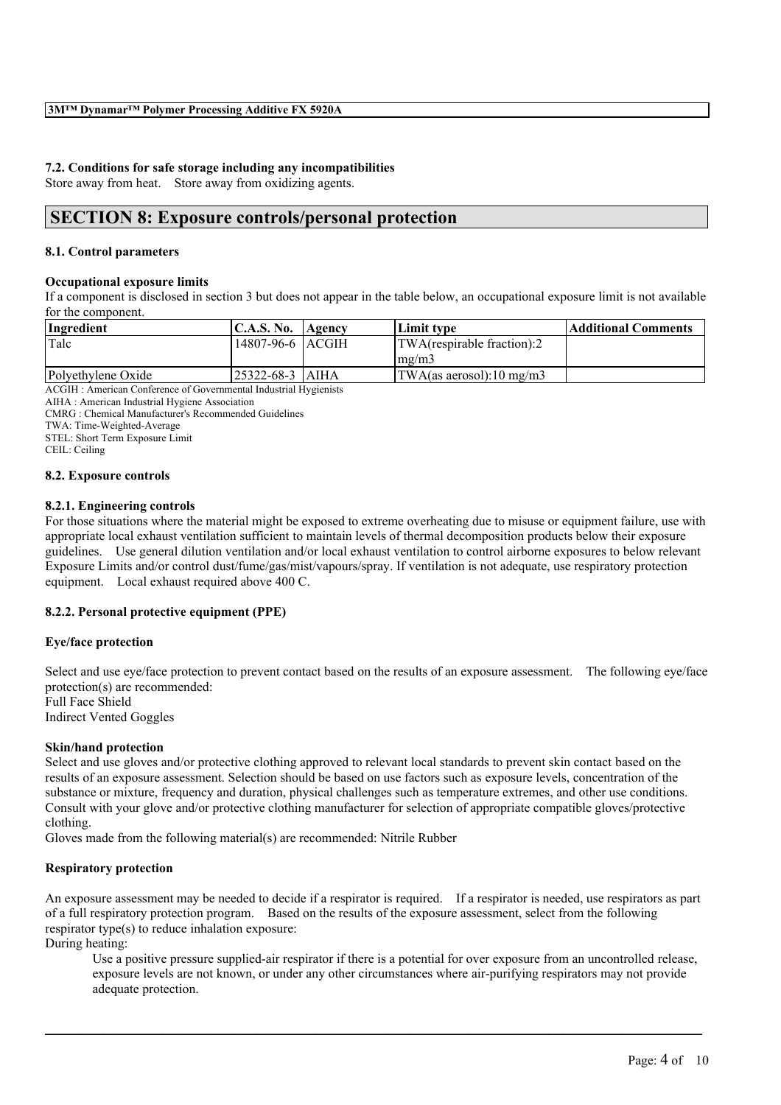## **7.2. Conditions for safe storage including any incompatibilities**

Store away from heat. Store away from oxidizing agents.

## **SECTION 8: Exposure controls/personal protection**

### **8.1. Control parameters**

#### **Occupational exposure limits**

If a component is disclosed in section 3 but does not appear in the table below, an occupational exposure limit is not available for the component.

| Ingredient                                                 | <b>C.A.S. No.</b> | Agency | Limit tvpe                    | Additional Comments |
|------------------------------------------------------------|-------------------|--------|-------------------------------|---------------------|
| Talc                                                       | 14807-96-6 ACGIH  |        | TWA(respirable fraction):2    |                     |
|                                                            |                   |        | $\text{Im} \Omega / \text{m}$ |                     |
| Polyethylene Oxide                                         | 125322-68-3  AIHA |        | $ TWA$ (as aerosol):10 mg/m3  |                     |
| $\sim$ $\sim$ $\sim$ $\sim$ $\sim$ $\sim$<br>$\sim$ $\sim$ |                   |        |                               |                     |

ACGIH : American Conference of Governmental Industrial Hygienists

AIHA : American Industrial Hygiene Association

CMRG : Chemical Manufacturer's Recommended Guidelines

TWA: Time-Weighted-Average

STEL: Short Term Exposure Limit

CEIL: Ceiling

### **8.2. Exposure controls**

### **8.2.1. Engineering controls**

For those situations where the material might be exposed to extreme overheating due to misuse or equipment failure, use with appropriate local exhaust ventilation sufficient to maintain levels of thermal decomposition products below their exposure guidelines. Use general dilution ventilation and/or local exhaust ventilation to control airborne exposures to below relevant Exposure Limits and/or control dust/fume/gas/mist/vapours/spray. If ventilation is not adequate, use respiratory protection equipment. Local exhaust required above 400 C.

### **8.2.2. Personal protective equipment (PPE)**

### **Eye/face protection**

Select and use eye/face protection to prevent contact based on the results of an exposure assessment. The following eye/face protection(s) are recommended: Full Face Shield

Indirect Vented Goggles

### **Skin/hand protection**

Select and use gloves and/or protective clothing approved to relevant local standards to prevent skin contact based on the results of an exposure assessment. Selection should be based on use factors such as exposure levels, concentration of the substance or mixture, frequency and duration, physical challenges such as temperature extremes, and other use conditions. Consult with your glove and/or protective clothing manufacturer for selection of appropriate compatible gloves/protective clothing.

Gloves made from the following material(s) are recommended: Nitrile Rubber

### **Respiratory protection**

An exposure assessment may be needed to decide if a respirator is required. If a respirator is needed, use respirators as part of a full respiratory protection program. Based on the results of the exposure assessment, select from the following respirator type(s) to reduce inhalation exposure:

 $\mathcal{L}_\mathcal{L} = \mathcal{L}_\mathcal{L} = \mathcal{L}_\mathcal{L} = \mathcal{L}_\mathcal{L} = \mathcal{L}_\mathcal{L} = \mathcal{L}_\mathcal{L} = \mathcal{L}_\mathcal{L} = \mathcal{L}_\mathcal{L} = \mathcal{L}_\mathcal{L} = \mathcal{L}_\mathcal{L} = \mathcal{L}_\mathcal{L} = \mathcal{L}_\mathcal{L} = \mathcal{L}_\mathcal{L} = \mathcal{L}_\mathcal{L} = \mathcal{L}_\mathcal{L} = \mathcal{L}_\mathcal{L} = \mathcal{L}_\mathcal{L}$ 

During heating:

Use a positive pressure supplied-air respirator if there is a potential for over exposure from an uncontrolled release, exposure levels are not known, or under any other circumstances where air-purifying respirators may not provide adequate protection.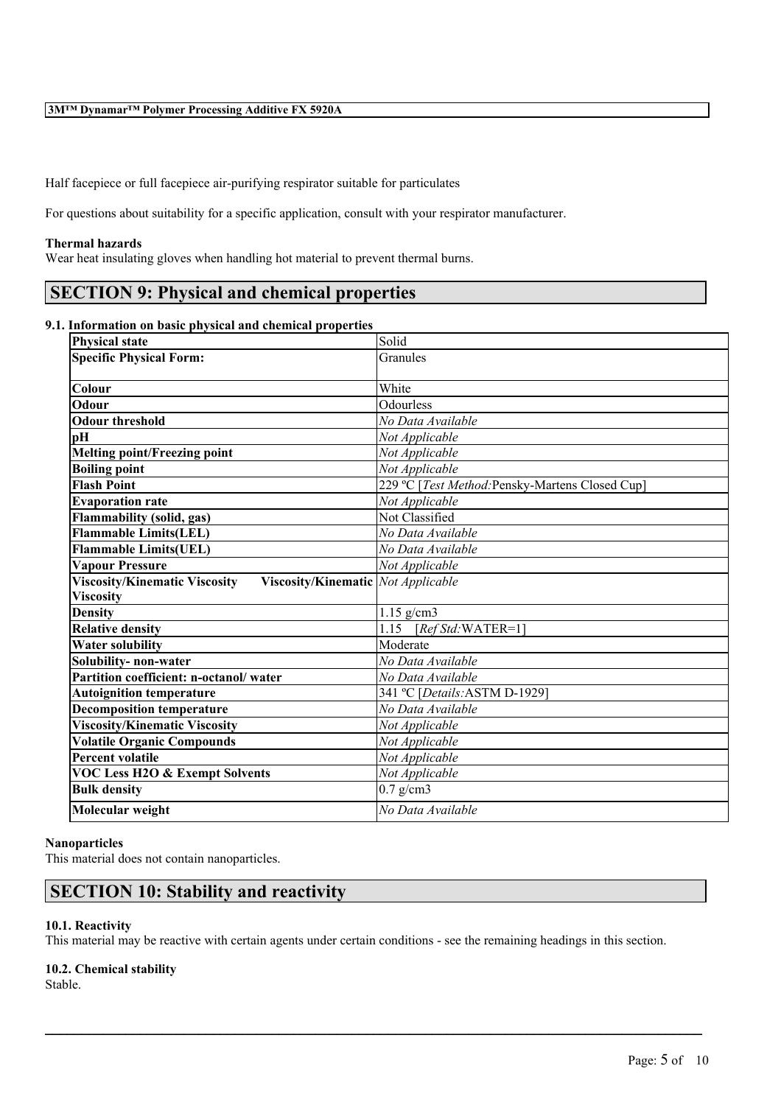Half facepiece or full facepiece air-purifying respirator suitable for particulates

For questions about suitability for a specific application, consult with your respirator manufacturer.

#### **Thermal hazards**

Wear heat insulating gloves when handling hot material to prevent thermal burns.

## **SECTION 9: Physical and chemical properties**

## **9.1. Information on basic physical and chemical properties**

| <b>Physical state</b>                                                             | Solid                                           |  |
|-----------------------------------------------------------------------------------|-------------------------------------------------|--|
| <b>Specific Physical Form:</b>                                                    | Granules                                        |  |
|                                                                                   |                                                 |  |
| Colour                                                                            | White                                           |  |
| Odour                                                                             | Odourless                                       |  |
| <b>Odour threshold</b>                                                            | No Data Available                               |  |
| pH                                                                                | Not Applicable                                  |  |
| <b>Melting point/Freezing point</b>                                               | Not Applicable                                  |  |
| <b>Boiling point</b>                                                              | Not Applicable                                  |  |
| <b>Flash Point</b>                                                                | 229 °C [Test Method: Pensky-Martens Closed Cup] |  |
| <b>Evaporation rate</b>                                                           | Not Applicable                                  |  |
| Flammability (solid, gas)                                                         | Not Classified                                  |  |
| <b>Flammable Limits(LEL)</b>                                                      | No Data Available                               |  |
| <b>Flammable Limits(UEL)</b>                                                      | No Data Available                               |  |
| <b>Vapour Pressure</b>                                                            | Not Applicable                                  |  |
| <b>Viscosity/Kinematic Viscosity</b><br><b>Viscosity/Kinematic</b> Not Applicable |                                                 |  |
| <b>Viscosity</b>                                                                  |                                                 |  |
| <b>Density</b>                                                                    | $1.15$ g/cm3                                    |  |
| <b>Relative density</b>                                                           | 1.15<br>$[RefStd:WATER=1]$                      |  |
| <b>Water solubility</b>                                                           | Moderate                                        |  |
| Solubility- non-water                                                             | No Data Available                               |  |
| Partition coefficient: n-octanol/water                                            | No Data Available                               |  |
| <b>Autoignition temperature</b>                                                   | 341 °C [Details: ASTM D-1929]                   |  |
| <b>Decomposition temperature</b>                                                  | No Data Available                               |  |
| <b>Viscosity/Kinematic Viscosity</b>                                              | Not Applicable                                  |  |
| <b>Volatile Organic Compounds</b>                                                 | Not Applicable                                  |  |
| <b>Percent volatile</b>                                                           | Not Applicable                                  |  |
| <b>VOC Less H2O &amp; Exempt Solvents</b>                                         | Not Applicable                                  |  |
| <b>Bulk density</b>                                                               | $0.7$ g/cm3                                     |  |
|                                                                                   |                                                 |  |

#### **Nanoparticles**

This material does not contain nanoparticles.

## **SECTION 10: Stability and reactivity**

### **10.1. Reactivity**

This material may be reactive with certain agents under certain conditions - see the remaining headings in this section.

 $\mathcal{L}_\mathcal{L} = \mathcal{L}_\mathcal{L} = \mathcal{L}_\mathcal{L} = \mathcal{L}_\mathcal{L} = \mathcal{L}_\mathcal{L} = \mathcal{L}_\mathcal{L} = \mathcal{L}_\mathcal{L} = \mathcal{L}_\mathcal{L} = \mathcal{L}_\mathcal{L} = \mathcal{L}_\mathcal{L} = \mathcal{L}_\mathcal{L} = \mathcal{L}_\mathcal{L} = \mathcal{L}_\mathcal{L} = \mathcal{L}_\mathcal{L} = \mathcal{L}_\mathcal{L} = \mathcal{L}_\mathcal{L} = \mathcal{L}_\mathcal{L}$ 

### **10.2. Chemical stability**

Stable.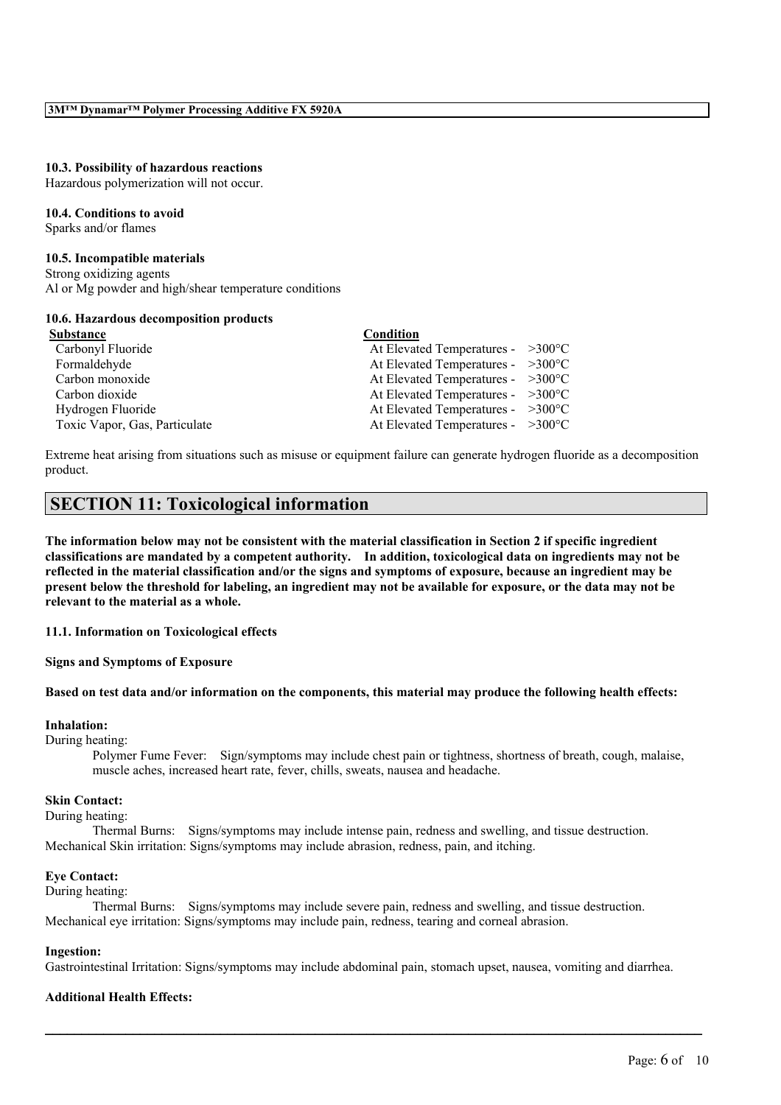#### **10.3. Possibility of hazardous reactions**

Hazardous polymerization will not occur.

#### **10.4. Conditions to avoid**

Sparks and/or flames

#### **10.5. Incompatible materials**

Strong oxidizing agents Al or Mg powder and high/shear temperature conditions

#### **10.6. Hazardous decomposition products**

| Substance                     | Condition                                   |  |
|-------------------------------|---------------------------------------------|--|
| Carbonyl Fluoride             | At Elevated Temperatures - $>300^{\circ}$ C |  |
| Formaldehyde                  | At Elevated Temperatures - $>300^{\circ}$ C |  |
| Carbon monoxide               | At Elevated Temperatures - $>300^{\circ}$ C |  |
| Carbon dioxide                | At Elevated Temperatures - $>300^{\circ}$ C |  |
| Hydrogen Fluoride             | At Elevated Temperatures - $>300^{\circ}$ C |  |
| Toxic Vapor, Gas, Particulate | At Elevated Temperatures - $>300^{\circ}$ C |  |
|                               |                                             |  |

Extreme heat arising from situations such as misuse or equipment failure can generate hydrogen fluoride as a decomposition product.

## **SECTION 11: Toxicological information**

The information below may not be consistent with the material classification in Section 2 if specific ingredient **classifications are mandated by a competent authority. In addition, toxicological data on ingredients may not be** reflected in the material classification and/or the signs and symptoms of exposure, because an ingredient may be present below the threshold for labeling, an ingredient may not be available for exposure, or the data may not be **relevant to the material as a whole.**

### **11.1. Information on Toxicological effects**

#### **Signs and Symptoms of Exposure**

#### Based on test data and/or information on the components, this material may produce the following health effects:

#### **Inhalation:**

During heating:

Polymer Fume Fever: Sign/symptoms may include chest pain or tightness, shortness of breath, cough, malaise, muscle aches, increased heart rate, fever, chills, sweats, nausea and headache.

#### **Skin Contact:**

During heating:

Thermal Burns: Signs/symptoms may include intense pain, redness and swelling, and tissue destruction. Mechanical Skin irritation: Signs/symptoms may include abrasion, redness, pain, and itching.

#### **Eye Contact:**

#### During heating:

Thermal Burns: Signs/symptoms may include severe pain, redness and swelling, and tissue destruction. Mechanical eye irritation: Signs/symptoms may include pain, redness, tearing and corneal abrasion.

#### **Ingestion:**

Gastrointestinal Irritation: Signs/symptoms may include abdominal pain, stomach upset, nausea, vomiting and diarrhea.

 $\mathcal{L}_\mathcal{L} = \mathcal{L}_\mathcal{L} = \mathcal{L}_\mathcal{L} = \mathcal{L}_\mathcal{L} = \mathcal{L}_\mathcal{L} = \mathcal{L}_\mathcal{L} = \mathcal{L}_\mathcal{L} = \mathcal{L}_\mathcal{L} = \mathcal{L}_\mathcal{L} = \mathcal{L}_\mathcal{L} = \mathcal{L}_\mathcal{L} = \mathcal{L}_\mathcal{L} = \mathcal{L}_\mathcal{L} = \mathcal{L}_\mathcal{L} = \mathcal{L}_\mathcal{L} = \mathcal{L}_\mathcal{L} = \mathcal{L}_\mathcal{L}$ 

#### **Additional Health Effects:**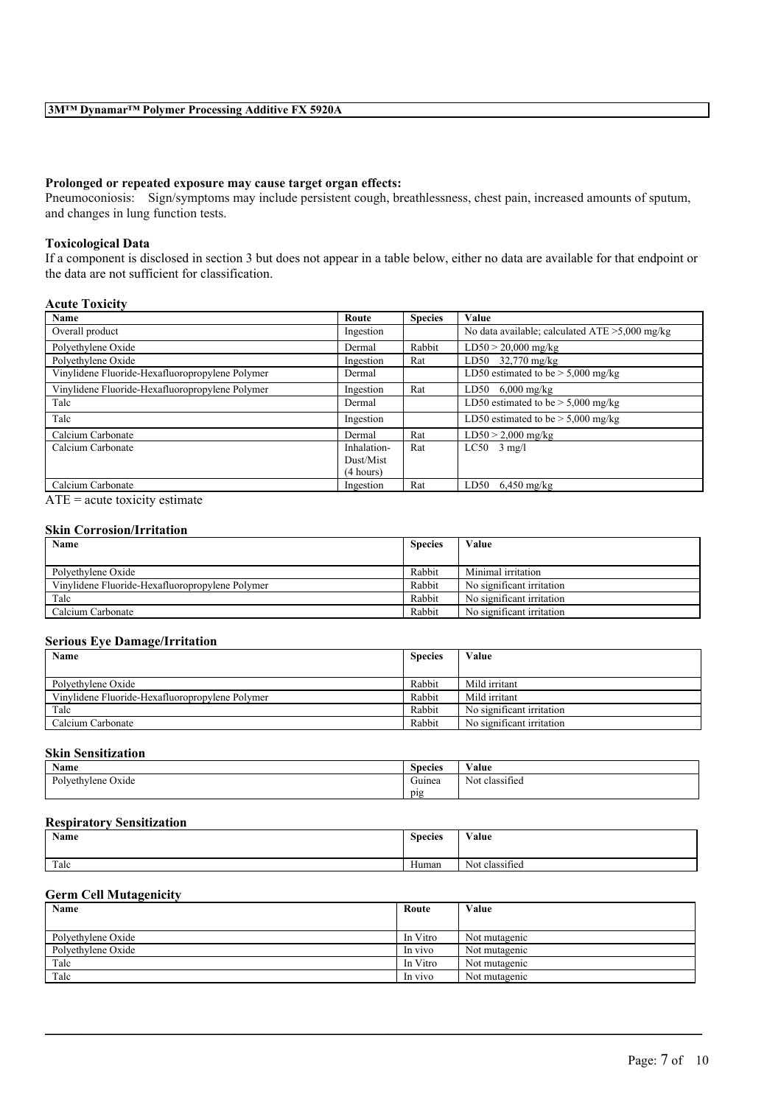#### **Prolonged or repeated exposure may cause target organ effects:**

Pneumoconiosis: Sign/symptoms may include persistent cough, breathlessness, chest pain, increased amounts of sputum, and changes in lung function tests.

#### **Toxicological Data**

If a component is disclosed in section 3 but does not appear in a table below, either no data are available for that endpoint or the data are not sufficient for classification.

#### **Acute Toxicity**

| Name                                            | Route       | <b>Species</b> | Value                                             |
|-------------------------------------------------|-------------|----------------|---------------------------------------------------|
| Overall product                                 | Ingestion   |                | No data available; calculated $ATE > 5,000$ mg/kg |
| Polyethylene Oxide                              | Dermal      | Rabbit         | $LD50 > 20,000$ mg/kg                             |
| Polyethylene Oxide                              | Ingestion   | Rat            | LD50 $32,770$ mg/kg                               |
| Vinylidene Fluoride-Hexafluoropropylene Polymer | Dermal      |                | LD50 estimated to be $> 5,000$ mg/kg              |
| Vinylidene Fluoride-Hexafluoropropylene Polymer | Ingestion   | Rat            | LD50<br>$6,000 \text{ mg/kg}$                     |
| Talc                                            | Dermal      |                | LD50 estimated to be $> 5,000$ mg/kg              |
| Talc                                            | Ingestion   |                | LD50 estimated to be $> 5,000$ mg/kg              |
| Calcium Carbonate                               | Dermal      | Rat            | $LD50 > 2,000$ mg/kg                              |
| Calcium Carbonate                               | Inhalation- | Rat            | $LC50$ 3 mg/l                                     |
|                                                 | Dust/Mist   |                |                                                   |
|                                                 | (4 hours)   |                |                                                   |
| Calcium Carbonate                               | Ingestion   | Rat            | LD50<br>$6,450$ mg/kg                             |

 $\overline{ATE}$  = acute toxicity estimate

#### **Skin Corrosion/Irritation**

| Name                                            | <b>Species</b> | Value                     |
|-------------------------------------------------|----------------|---------------------------|
|                                                 |                |                           |
| Polvethylene Oxide                              | Rabbit         | Minimal irritation        |
| Vinylidene Fluoride-Hexafluoropropylene Polymer | Rabbit         | No significant irritation |
| Talc                                            | Rabbit         | No significant irritation |
| Calcium Carbonate                               | Rabbit         | No significant irritation |

#### **Serious Eye Damage/Irritation**

| Name<br><b>Species</b>                          |        | Value                     |
|-------------------------------------------------|--------|---------------------------|
|                                                 |        |                           |
| Polvethylene Oxide                              | Rabbit | Mild irritant             |
| Vinylidene Fluoride-Hexafluoropropylene Polymer | Rabbit | Mild irritant             |
| Talc                                            | Rabbit | No significant irritation |
| Calcium Carbonate                               | Rabbit | No significant irritation |

## **Skin Sensitization**

| $\rightarrow$<br>Name                     | $\sim$<br><b>Species</b> | $\mathbf{v}$ $\mathbf{v}$<br>⁄ alue |
|-------------------------------------------|--------------------------|-------------------------------------|
| $D_{\alpha}$<br>Ivethvlene<br>Oxide<br>vı | $\sim$<br>Guinea         | . .<br>classified<br>Not            |
|                                           | pig                      |                                     |

#### **Respiratory Sensitization**

| Name | $\sim$<br><b>Species</b> | <b>WY B</b><br>Value             |
|------|--------------------------|----------------------------------|
| Talc | Human                    | $\cdot$ $\sim$<br>Not classified |

#### **Germ Cell Mutagenicity**

| Name               | Route    | Value         |
|--------------------|----------|---------------|
|                    |          |               |
| Polvethylene Oxide | In Vitro | Not mutagenic |
| Polvethylene Oxide | In vivo  | Not mutagenic |
| Talc               | In Vitro | Not mutagenic |
| Talc               | In vivo  | Not mutagenic |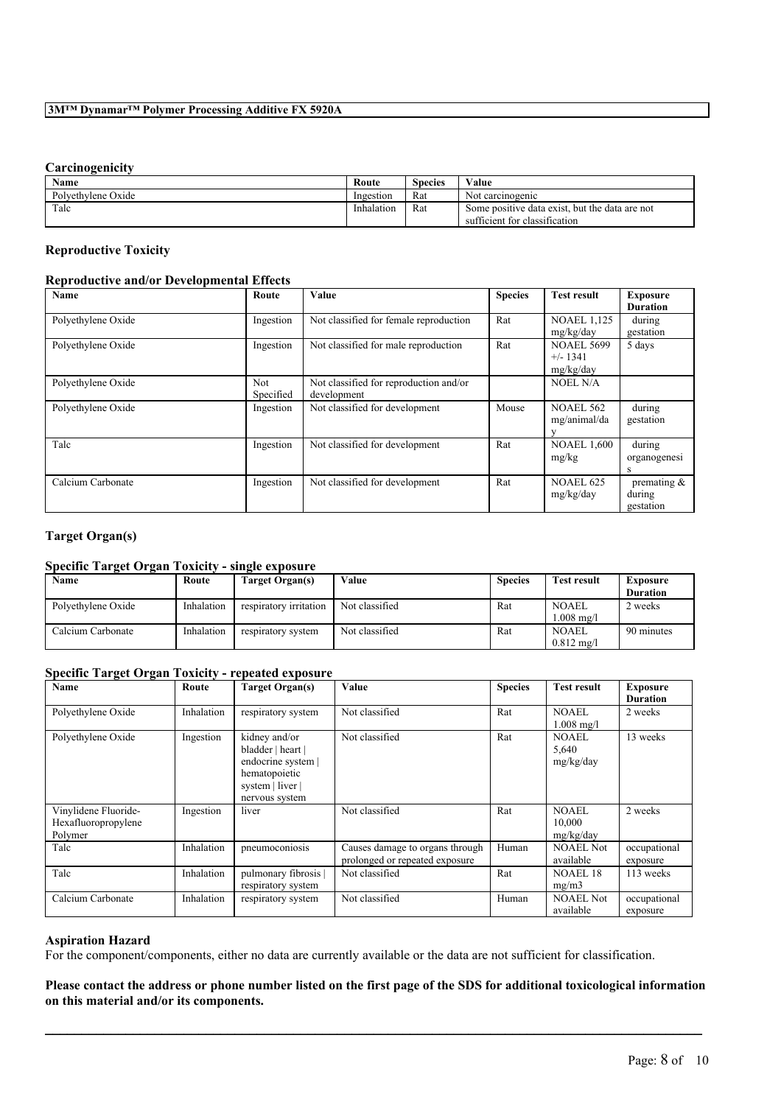## **Carcinogenicity**

| Name               | Route      | Species | Value                                          |
|--------------------|------------|---------|------------------------------------------------|
| Polvethylene Oxide | Ingestion  | Rat     | Not carcinogenic                               |
| Talc               | Inhalation | Rat     | Some positive data exist, but the data are not |
|                    |            |         | sufficient for classification                  |

## **Reproductive Toxicity**

## **Reproductive and/or Developmental Effects**

| Name               | Route                   | Value                                                 | <b>Species</b> | <b>Test result</b>                           | <b>Exposure</b><br><b>Duration</b>    |
|--------------------|-------------------------|-------------------------------------------------------|----------------|----------------------------------------------|---------------------------------------|
| Polyethylene Oxide | Ingestion               | Not classified for female reproduction                | Rat            | <b>NOAEL 1,125</b><br>mg/kg/day              | during<br>gestation                   |
| Polyethylene Oxide | Ingestion               | Not classified for male reproduction                  | Rat            | <b>NOAEL 5699</b><br>$+/- 1341$<br>mg/kg/day | 5 days                                |
| Polyethylene Oxide | <b>Not</b><br>Specified | Not classified for reproduction and/or<br>development |                | <b>NOEL N/A</b>                              |                                       |
| Polyethylene Oxide | Ingestion               | Not classified for development                        | Mouse          | <b>NOAEL 562</b><br>mg/animal/da             | during<br>gestation                   |
| Talc               | Ingestion               | Not classified for development                        | Rat            | <b>NOAEL 1,600</b><br>mg/kg                  | during<br>organogenesi<br>S           |
| Calcium Carbonate  | Ingestion               | Not classified for development                        | Rat            | <b>NOAEL 625</b><br>mg/kg/day                | premating $\&$<br>during<br>gestation |

### **Target Organ(s)**

## **Specific Target Organ Toxicity - single exposure**

| Name               | Route      | Target Organ(s)        | Value          | <b>Species</b> | <b>Test result</b>    | Exposure        |
|--------------------|------------|------------------------|----------------|----------------|-----------------------|-----------------|
|                    |            |                        |                |                |                       | <b>Duration</b> |
| Polvethylene Oxide | Inhalation | respiratory irritation | Not classified | Rat            | <b>NOAEL</b>          | 2 weeks         |
|                    |            |                        |                |                | $1.008 \text{ m}$ g/l |                 |
| Calcium Carbonate  | Inhalation | respiratory system     | Not classified | Rat            | <b>NOAEL</b>          | 90 minutes      |
|                    |            |                        |                |                | $0.812 \text{ m}$ g/l |                 |

### **Specific Target Organ Toxicity - repeated exposure**

| Name                                                   | Route      | <b>Target Organ(s)</b>                                                                                          | Value                                                             | <b>Species</b> | <b>Test result</b>                 | <b>Exposure</b><br><b>Duration</b> |
|--------------------------------------------------------|------------|-----------------------------------------------------------------------------------------------------------------|-------------------------------------------------------------------|----------------|------------------------------------|------------------------------------|
| Polyethylene Oxide                                     | Inhalation | respiratory system                                                                                              | Not classified                                                    | Rat            | NOAEL<br>$1.008 \text{ mg/l}$      | 2 weeks                            |
| Polyethylene Oxide                                     | Ingestion  | kidney and/or<br>bladder   heart  <br>endocrine system  <br>hematopoietic<br>system   liver  <br>nervous system | Not classified                                                    | Rat            | <b>NOAEL</b><br>5,640<br>mg/kg/day | 13 weeks                           |
| Vinylidene Fluoride-<br>Hexafluoropropylene<br>Polymer | Ingestion  | liver                                                                                                           | Not classified                                                    | Rat            | NOAEL<br>10,000<br>mg/kg/day       | 2 weeks                            |
| Talc                                                   | Inhalation | pneumoconiosis                                                                                                  | Causes damage to organs through<br>prolonged or repeated exposure | Human          | <b>NOAEL Not</b><br>available      | occupational<br>exposure           |
| Talc                                                   | Inhalation | pulmonary fibrosis<br>respiratory system                                                                        | Not classified                                                    | Rat            | <b>NOAEL 18</b><br>mg/m3           | 113 weeks                          |
| Calcium Carbonate                                      | Inhalation | respiratory system                                                                                              | Not classified                                                    | Human          | <b>NOAEL Not</b><br>available      | occupational<br>exposure           |

## **Aspiration Hazard**

For the component/components, either no data are currently available or the data are not sufficient for classification.

## Please contact the address or phone number listed on the first page of the SDS for additional toxicological information **on this material and/or its components.**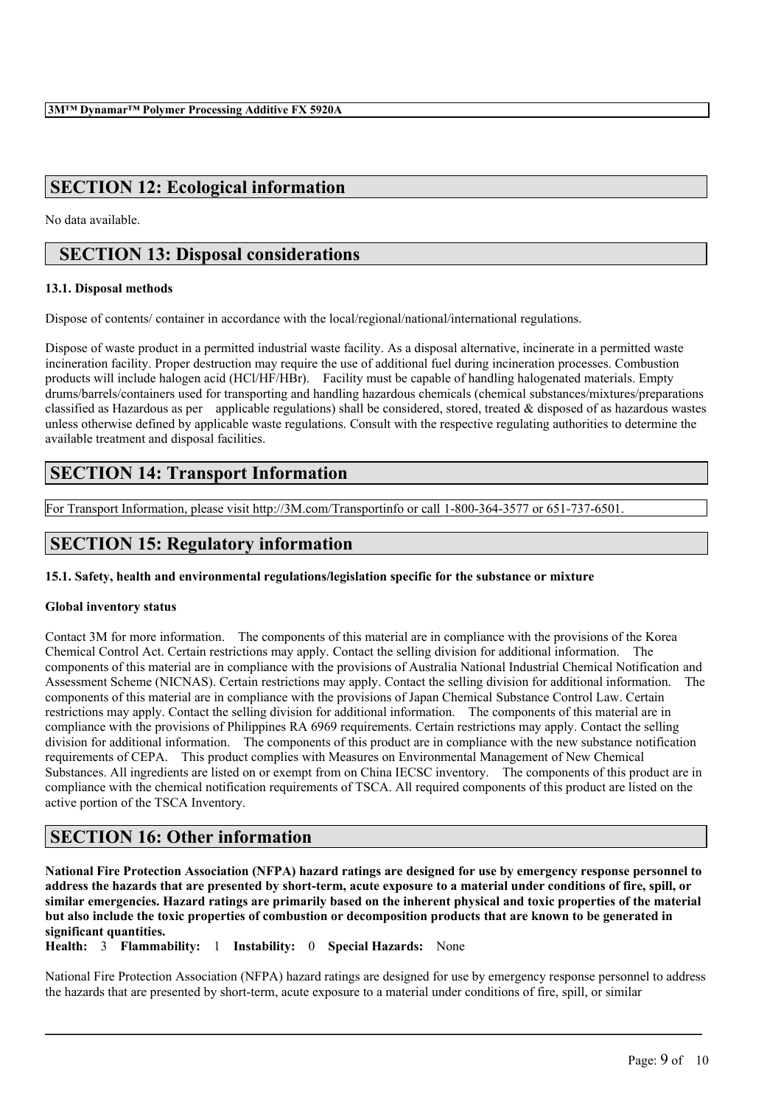# **SECTION 12: Ecological information**

No data available.

## **SECTION 13: Disposal considerations**

### **13.1. Disposal methods**

Dispose of contents/ container in accordance with the local/regional/national/international regulations.

Dispose of waste product in a permitted industrial waste facility. As a disposal alternative, incinerate in a permitted waste incineration facility. Proper destruction may require the use of additional fuel during incineration processes. Combustion products will include halogen acid (HCl/HF/HBr). Facility must be capable of handling halogenated materials. Empty drums/barrels/containers used for transporting and handling hazardous chemicals (chemical substances/mixtures/preparations classified as Hazardous as per applicable regulations) shall be considered, stored, treated  $\&$  disposed of as hazardous wastes unless otherwise defined by applicable waste regulations. Consult with the respective regulating authorities to determine the available treatment and disposal facilities.

## **SECTION 14: Transport Information**

For Transport Information, please visit http://3M.com/Transportinfo or call 1-800-364-3577 or 651-737-6501.

# **SECTION 15: Regulatory information**

### **15.1. Safety, health and environmental regulations/legislation specific for the substance or mixture**

### **Global inventory status**

Contact 3M for more information. The components of this material are in compliance with the provisions of the Korea Chemical Control Act. Certain restrictions may apply. Contact the selling division for additional information. The components of this material are in compliance with the provisions of Australia National Industrial Chemical Notification and Assessment Scheme (NICNAS). Certain restrictions may apply. Contact the selling division for additional information. The components of this material are in compliance with the provisions of Japan Chemical Substance Control Law. Certain restrictions may apply. Contact the selling division for additional information. The components of this material are in compliance with the provisions of Philippines RA 6969 requirements. Certain restrictions may apply. Contact the selling division for additional information. The components of this product are in compliance with the new substance notification requirements of CEPA. This product complies with Measures on Environmental Management of New Chemical Substances. All ingredients are listed on or exempt from on China IECSC inventory. The components of this product are in compliance with the chemical notification requirements of TSCA. All required components of this product are listed on the active portion of the TSCA Inventory.

## **SECTION 16: Other information**

National Fire Protection Association (NFPA) hazard ratings are designed for use by emergency response personnel to address the hazards that are presented by short-term, acute exposure to a material under conditions of fire, spill, or similar emergencies. Hazard ratings are primarily based on the inherent physical and toxic properties of the material but also include the toxic properties of combustion or decomposition products that are known to be generated in **significant quantities.**

**Health:** 3 **Flammability:** 1 **Instability:** 0 **Special Hazards:** None

National Fire Protection Association (NFPA) hazard ratings are designed for use by emergency response personnel to address the hazards that are presented by short-term, acute exposure to a material under conditions of fire, spill, or similar